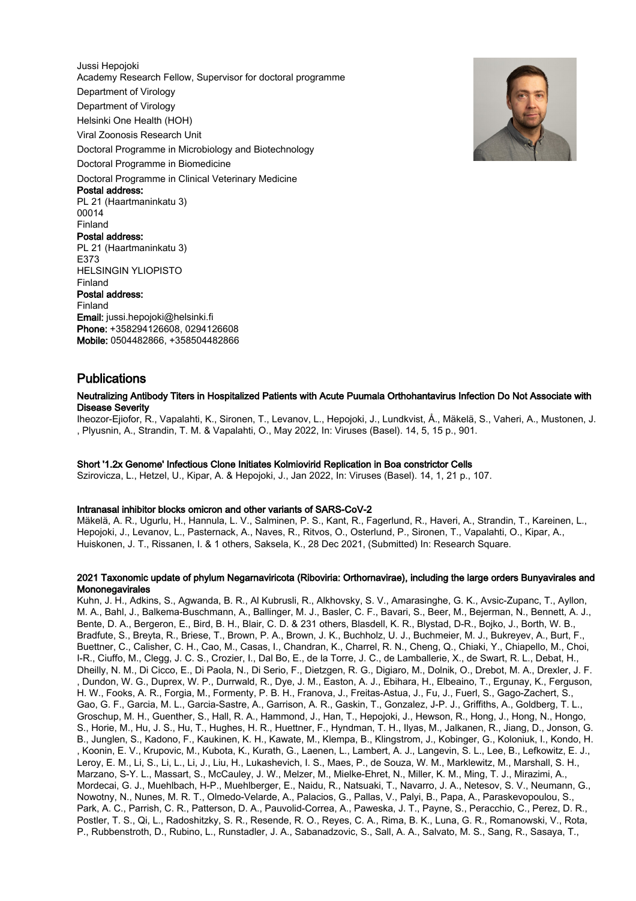Jussi Hepojoki Academy Research Fellow, Supervisor for doctoral programme Department of Virology Department of Virology Helsinki One Health (HOH) Viral Zoonosis Research Unit Doctoral Programme in Microbiology and Biotechnology Doctoral Programme in Biomedicine Doctoral Programme in Clinical Veterinary Medicine Postal address: PL 21 (Haartmaninkatu 3) 00014 Finland Postal address: PL 21 (Haartmaninkatu 3) E373 HELSINGIN YLIOPISTO Finland Postal address: Finland Email: jussi.hepojoki@helsinki.fi Phone: +358294126608, 0294126608 Mobile: 0504482866, +358504482866



# Publications

#### Neutralizing Antibody Titers in Hospitalized Patients with Acute Puumala Orthohantavirus Infection Do Not Associate with Disease Severity

Iheozor-Ejiofor, R., Vapalahti, K., Sironen, T., Levanov, L., Hepojoki, J., Lundkvist, Å., Mäkelä, S., Vaheri, A., Mustonen, J. , Plyusnin, A., Strandin, T. M. & Vapalahti, O., May 2022, In: Viruses (Basel). 14, 5, 15 p., 901.

## Short '1.2x Genome' Infectious Clone Initiates Kolmiovirid Replication in Boa constrictor Cells

Szirovicza, L., Hetzel, U., Kipar, A. & Hepojoki, J., Jan 2022, In: Viruses (Basel). 14, 1, 21 p., 107.

#### Intranasal inhibitor blocks omicron and other variants of SARS-CoV-2

Mäkelä, A. R., Ugurlu, H., Hannula, L. V., Salminen, P. S., Kant, R., Fagerlund, R., Haveri, A., Strandin, T., Kareinen, L., Hepojoki, J., Levanov, L., Pasternack, A., Naves, R., Ritvos, O., Osterlund, P., Sironen, T., Vapalahti, O., Kipar, A., Huiskonen, J. T., Rissanen, I. & 1 others, Saksela, K., 28 Dec 2021, (Submitted) In: Research Square.

## 2021 Taxonomic update of phylum Negarnaviricota (Riboviria: Orthornavirae), including the large orders Bunyavirales and **Mononegavirales**

Kuhn, J. H., Adkins, S., Agwanda, B. R., Al Kubrusli, R., Alkhovsky, S. V., Amarasinghe, G. K., Avsic-Zupanc, T., Ayllon, M. A., Bahl, J., Balkema-Buschmann, A., Ballinger, M. J., Basler, C. F., Bavari, S., Beer, M., Bejerman, N., Bennett, A. J., Bente, D. A., Bergeron, E., Bird, B. H., Blair, C. D. & 231 others, Blasdell, K. R., Blystad, D-R., Bojko, J., Borth, W. B., Bradfute, S., Breyta, R., Briese, T., Brown, P. A., Brown, J. K., Buchholz, U. J., Buchmeier, M. J., Bukreyev, A., Burt, F., Buettner, C., Calisher, C. H., Cao, M., Casas, I., Chandran, K., Charrel, R. N., Cheng, Q., Chiaki, Y., Chiapello, M., Choi, I-R., Ciuffo, M., Clegg, J. C. S., Crozier, I., Dal Bo, E., de la Torre, J. C., de Lamballerie, X., de Swart, R. L., Debat, H., Dheilly, N. M., Di Cicco, E., Di Paola, N., Di Serio, F., Dietzgen, R. G., Digiaro, M., Dolnik, O., Drebot, M. A., Drexler, J. F. , Dundon, W. G., Duprex, W. P., Durrwald, R., Dye, J. M., Easton, A. J., Ebihara, H., Elbeaino, T., Ergunay, K., Ferguson, H. W., Fooks, A. R., Forgia, M., Formenty, P. B. H., Franova, J., Freitas-Astua, J., Fu, J., Fuerl, S., Gago-Zachert, S., Gao, G. F., Garcia, M. L., Garcia-Sastre, A., Garrison, A. R., Gaskin, T., Gonzalez, J-P. J., Griffiths, A., Goldberg, T. L., Groschup, M. H., Guenther, S., Hall, R. A., Hammond, J., Han, T., Hepojoki, J., Hewson, R., Hong, J., Hong, N., Hongo, S., Horie, M., Hu, J. S., Hu, T., Hughes, H. R., Huettner, F., Hyndman, T. H., Ilyas, M., Jalkanen, R., Jiang, D., Jonson, G. B., Junglen, S., Kadono, F., Kaukinen, K. H., Kawate, M., Klempa, B., Klingstrom, J., Kobinger, G., Koloniuk, I., Kondo, H. , Koonin, E. V., Krupovic, M., Kubota, K., Kurath, G., Laenen, L., Lambert, A. J., Langevin, S. L., Lee, B., Lefkowitz, E. J., Leroy, E. M., Li, S., Li, L., Li, J., Liu, H., Lukashevich, I. S., Maes, P., de Souza, W. M., Marklewitz, M., Marshall, S. H., Marzano, S-Y. L., Massart, S., McCauley, J. W., Melzer, M., Mielke-Ehret, N., Miller, K. M., Ming, T. J., Mirazimi, A., Mordecai, G. J., Muehlbach, H-P., Muehlberger, E., Naidu, R., Natsuaki, T., Navarro, J. A., Netesov, S. V., Neumann, G., Nowotny, N., Nunes, M. R. T., Olmedo-Velarde, A., Palacios, G., Pallas, V., Palyi, B., Papa, A., Paraskevopoulou, S., Park, A. C., Parrish, C. R., Patterson, D. A., Pauvolid-Correa, A., Paweska, J. T., Payne, S., Peracchio, C., Perez, D. R., Postler, T. S., Qi, L., Radoshitzky, S. R., Resende, R. O., Reyes, C. A., Rima, B. K., Luna, G. R., Romanowski, V., Rota, P., Rubbenstroth, D., Rubino, L., Runstadler, J. A., Sabanadzovic, S., Sall, A. A., Salvato, M. S., Sang, R., Sasaya, T.,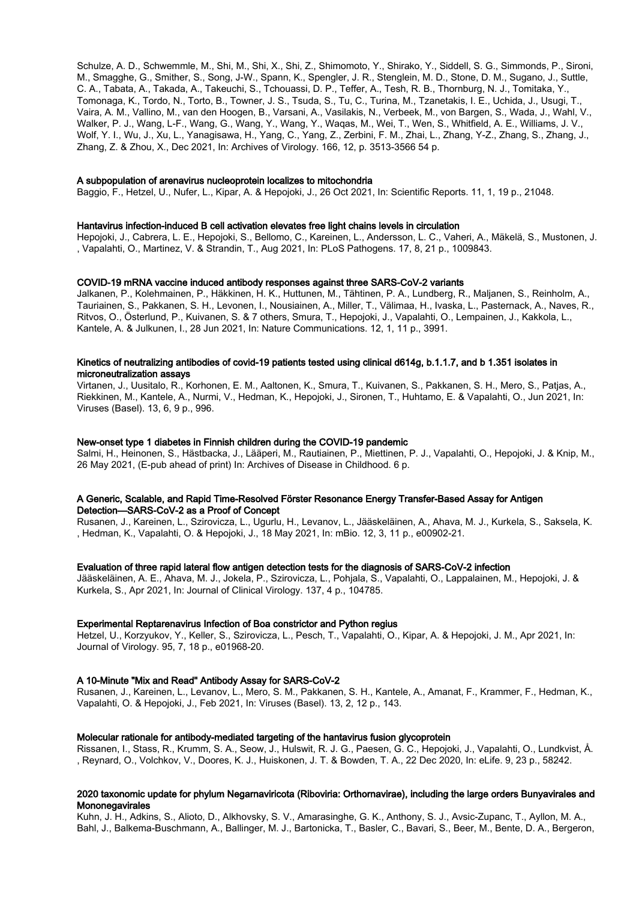Schulze, A. D., Schwemmle, M., Shi, M., Shi, X., Shi, Z., Shimomoto, Y., Shirako, Y., Siddell, S. G., Simmonds, P., Sironi, M., Smagghe, G., Smither, S., Song, J-W., Spann, K., Spengler, J. R., Stenglein, M. D., Stone, D. M., Sugano, J., Suttle, C. A., Tabata, A., Takada, A., Takeuchi, S., Tchouassi, D. P., Teffer, A., Tesh, R. B., Thornburg, N. J., Tomitaka, Y., Tomonaga, K., Tordo, N., Torto, B., Towner, J. S., Tsuda, S., Tu, C., Turina, M., Tzanetakis, I. E., Uchida, J., Usugi, T., Vaira, A. M., Vallino, M., van den Hoogen, B., Varsani, A., Vasilakis, N., Verbeek, M., von Bargen, S., Wada, J., Wahl, V., Walker, P. J., Wang, L-F., Wang, G., Wang, Y., Wang, Y., Waqas, M., Wei, T., Wen, S., Whitfield, A. E., Williams, J. V., Wolf, Y. I., Wu, J., Xu, L., Yanagisawa, H., Yang, C., Yang, Z., Zerbini, F. M., Zhai, L., Zhang, Y-Z., Zhang, S., Zhang, J., Zhang, Z. & Zhou, X., Dec 2021, In: Archives of Virology. 166, 12, p. 3513-3566 54 p.

## A subpopulation of arenavirus nucleoprotein localizes to mitochondria

Baggio, F., Hetzel, U., Nufer, L., Kipar, A. & Hepojoki, J., 26 Oct 2021, In: Scientific Reports. 11, 1, 19 p., 21048.

#### Hantavirus infection-induced B cell activation elevates free light chains levels in circulation

Hepojoki, J., Cabrera, L. E., Hepojoki, S., Bellomo, C., Kareinen, L., Andersson, L. C., Vaheri, A., Mäkelä, S., Mustonen, J. , Vapalahti, O., Martinez, V. & Strandin, T., Aug 2021, In: PLoS Pathogens. 17, 8, 21 p., 1009843.

#### COVID-19 mRNA vaccine induced antibody responses against three SARS-CoV-2 variants

Jalkanen, P., Kolehmainen, P., Häkkinen, H. K., Huttunen, M., Tähtinen, P. A., Lundberg, R., Maljanen, S., Reinholm, A., Tauriainen, S., Pakkanen, S. H., Levonen, I., Nousiainen, A., Miller, T., Välimaa, H., Ivaska, L., Pasternack, A., Naves, R., Ritvos, O., Österlund, P., Kuivanen, S. & 7 others, Smura, T., Hepojoki, J., Vapalahti, O., Lempainen, J., Kakkola, L., Kantele, A. & Julkunen, I., 28 Jun 2021, In: Nature Communications. 12, 1, 11 p., 3991.

#### Kinetics of neutralizing antibodies of covid-19 patients tested using clinical d614g, b.1.1.7, and b 1.351 isolates in microneutralization assays

Virtanen, J., Uusitalo, R., Korhonen, E. M., Aaltonen, K., Smura, T., Kuivanen, S., Pakkanen, S. H., Mero, S., Patjas, A., Riekkinen, M., Kantele, A., Nurmi, V., Hedman, K., Hepojoki, J., Sironen, T., Huhtamo, E. & Vapalahti, O., Jun 2021, In: Viruses (Basel). 13, 6, 9 p., 996.

#### New-onset type 1 diabetes in Finnish children during the COVID-19 pandemic

Salmi, H., Heinonen, S., Hästbacka, J., Lääperi, M., Rautiainen, P., Miettinen, P. J., Vapalahti, O., Hepojoki, J. & Knip, M., 26 May 2021, (E-pub ahead of print) In: Archives of Disease in Childhood. 6 p.

## A Generic, Scalable, and Rapid Time-Resolved Förster Resonance Energy Transfer-Based Assay for Antigen Detection—SARS-CoV-2 as a Proof of Concept

Rusanen, J., Kareinen, L., Szirovicza, L., Ugurlu, H., Levanov, L., Jääskeläinen, A., Ahava, M. J., Kurkela, S., Saksela, K. , Hedman, K., Vapalahti, O. & Hepojoki, J., 18 May 2021, In: mBio. 12, 3, 11 p., e00902-21.

#### Evaluation of three rapid lateral flow antigen detection tests for the diagnosis of SARS-CoV-2 infection

Jääskeläinen, A. E., Ahava, M. J., Jokela, P., Szirovicza, L., Pohjala, S., Vapalahti, O., Lappalainen, M., Hepojoki, J. & Kurkela, S., Apr 2021, In: Journal of Clinical Virology. 137, 4 p., 104785.

#### Experimental Reptarenavirus Infection of Boa constrictor and Python regius

Hetzel, U., Korzyukov, Y., Keller, S., Szirovicza, L., Pesch, T., Vapalahti, O., Kipar, A. & Hepojoki, J. M., Apr 2021, In: Journal of Virology. 95, 7, 18 p., e01968-20.

## A 10-Minute "Mix and Read" Antibody Assay for SARS-CoV-2

Rusanen, J., Kareinen, L., Levanov, L., Mero, S. M., Pakkanen, S. H., Kantele, A., Amanat, F., Krammer, F., Hedman, K., Vapalahti, O. & Hepojoki, J., Feb 2021, In: Viruses (Basel). 13, 2, 12 p., 143.

#### Molecular rationale for antibody-mediated targeting of the hantavirus fusion glycoprotein

Rissanen, I., Stass, R., Krumm, S. A., Seow, J., Hulswit, R. J. G., Paesen, G. C., Hepojoki, J., Vapalahti, O., Lundkvist, Å. , Reynard, O., Volchkov, V., Doores, K. J., Huiskonen, J. T. & Bowden, T. A., 22 Dec 2020, In: eLife. 9, 23 p., 58242.

## 2020 taxonomic update for phylum Negarnaviricota (Riboviria: Orthornavirae), including the large orders Bunyavirales and Mononegavirales

Kuhn, J. H., Adkins, S., Alioto, D., Alkhovsky, S. V., Amarasinghe, G. K., Anthony, S. J., Avsic-Zupanc, T., Ayllon, M. A., Bahl, J., Balkema-Buschmann, A., Ballinger, M. J., Bartonicka, T., Basler, C., Bavari, S., Beer, M., Bente, D. A., Bergeron,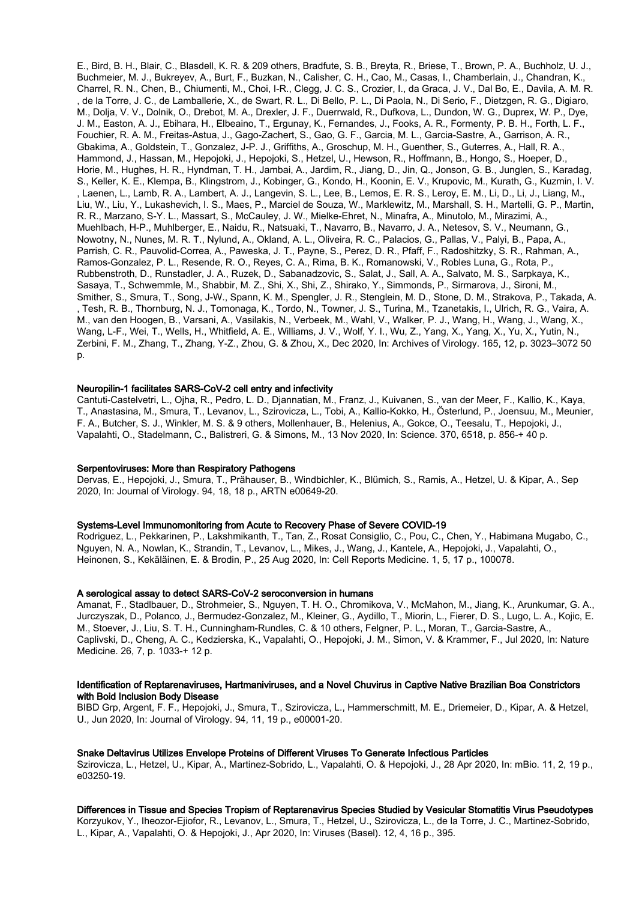E., Bird, B. H., Blair, C., Blasdell, K. R. & 209 others, Bradfute, S. B., Breyta, R., Briese, T., Brown, P. A., Buchholz, U. J., Buchmeier, M. J., Bukreyev, A., Burt, F., Buzkan, N., Calisher, C. H., Cao, M., Casas, I., Chamberlain, J., Chandran, K., Charrel, R. N., Chen, B., Chiumenti, M., Choi, I-R., Clegg, J. C. S., Crozier, I., da Graca, J. V., Dal Bo, E., Davila, A. M. R. , de la Torre, J. C., de Lamballerie, X., de Swart, R. L., Di Bello, P. L., Di Paola, N., Di Serio, F., Dietzgen, R. G., Digiaro, M., Dolja, V. V., Dolnik, O., Drebot, M. A., Drexler, J. F., Duerrwald, R., Dufkova, L., Dundon, W. G., Duprex, W. P., Dye, J. M., Easton, A. J., Ebihara, H., Elbeaino, T., Ergunay, K., Fernandes, J., Fooks, A. R., Formenty, P. B. H., Forth, L. F., Fouchier, R. A. M., Freitas-Astua, J., Gago-Zachert, S., Gao, G. F., Garcia, M. L., Garcia-Sastre, A., Garrison, A. R., Gbakima, A., Goldstein, T., Gonzalez, J-P. J., Griffiths, A., Groschup, M. H., Guenther, S., Guterres, A., Hall, R. A., Hammond, J., Hassan, M., Hepojoki, J., Hepojoki, S., Hetzel, U., Hewson, R., Hoffmann, B., Hongo, S., Hoeper, D., Horie, M., Hughes, H. R., Hyndman, T. H., Jambai, A., Jardim, R., Jiang, D., Jin, Q., Jonson, G. B., Junglen, S., Karadag, S., Keller, K. E., Klempa, B., Klingstrom, J., Kobinger, G., Kondo, H., Koonin, E. V., Krupovic, M., Kurath, G., Kuzmin, I. V. , Laenen, L., Lamb, R. A., Lambert, A. J., Langevin, S. L., Lee, B., Lemos, E. R. S., Leroy, E. M., Li, D., Li, J., Liang, M., Liu, W., Liu, Y., Lukashevich, I. S., Maes, P., Marciel de Souza, W., Marklewitz, M., Marshall, S. H., Martelli, G. P., Martin, R. R., Marzano, S-Y. L., Massart, S., McCauley, J. W., Mielke-Ehret, N., Minafra, A., Minutolo, M., Mirazimi, A., Muehlbach, H-P., Muhlberger, E., Naidu, R., Natsuaki, T., Navarro, B., Navarro, J. A., Netesov, S. V., Neumann, G., Nowotny, N., Nunes, M. R. T., Nylund, A., Okland, A. L., Oliveira, R. C., Palacios, G., Pallas, V., Palyi, B., Papa, A., Parrish, C. R., Pauvolid-Correa, A., Paweska, J. T., Payne, S., Perez, D. R., Pfaff, F., Radoshitzky, S. R., Rahman, A., Ramos-Gonzalez, P. L., Resende, R. O., Reyes, C. A., Rima, B. K., Romanowski, V., Robles Luna, G., Rota, P., Rubbenstroth, D., Runstadler, J. A., Ruzek, D., Sabanadzovic, S., Salat, J., Sall, A. A., Salvato, M. S., Sarpkaya, K., Sasaya, T., Schwemmle, M., Shabbir, M. Z., Shi, X., Shi, Z., Shirako, Y., Simmonds, P., Sirmarova, J., Sironi, M., Smither, S., Smura, T., Song, J-W., Spann, K. M., Spengler, J. R., Stenglein, M. D., Stone, D. M., Strakova, P., Takada, A. , Tesh, R. B., Thornburg, N. J., Tomonaga, K., Tordo, N., Towner, J. S., Turina, M., Tzanetakis, I., Ulrich, R. G., Vaira, A. M., van den Hoogen, B., Varsani, A., Vasilakis, N., Verbeek, M., Wahl, V., Walker, P. J., Wang, H., Wang, J., Wang, X., Wang, L-F., Wei, T., Wells, H., Whitfield, A. E., Williams, J. V., Wolf, Y. I., Wu, Z., Yang, X., Yang, X., Yu, X., Yutin, N., Zerbini, F. M., Zhang, T., Zhang, Y-Z., Zhou, G. & Zhou, X., Dec 2020, In: Archives of Virology. 165, 12, p. 3023–3072 50 p.

#### Neuropilin-1 facilitates SARS-CoV-2 cell entry and infectivity

Cantuti-Castelvetri, L., Ojha, R., Pedro, L. D., Djannatian, M., Franz, J., Kuivanen, S., van der Meer, F., Kallio, K., Kaya, T., Anastasina, M., Smura, T., Levanov, L., Szirovicza, L., Tobi, A., Kallio-Kokko, H., Österlund, P., Joensuu, M., Meunier, F. A., Butcher, S. J., Winkler, M. S. & 9 others, Mollenhauer, B., Helenius, A., Gokce, O., Teesalu, T., Hepojoki, J., Vapalahti, O., Stadelmann, C., Balistreri, G. & Simons, M., 13 Nov 2020, In: Science. 370, 6518, p. 856-+ 40 p.

#### Serpentoviruses: More than Respiratory Pathogens

Dervas, E., Hepojoki, J., Smura, T., Prähauser, B., Windbichler, K., Blümich, S., Ramis, A., Hetzel, U. & Kipar, A., Sep 2020, In: Journal of Virology. 94, 18, 18 p., ARTN e00649-20.

#### Systems-Level Immunomonitoring from Acute to Recovery Phase of Severe COVID-19

Rodriguez, L., Pekkarinen, P., Lakshmikanth, T., Tan, Z., Rosat Consiglio, C., Pou, C., Chen, Y., Habimana Mugabo, C., Nguyen, N. A., Nowlan, K., Strandin, T., Levanov, L., Mikes, J., Wang, J., Kantele, A., Hepojoki, J., Vapalahti, O., Heinonen, S., Kekäläinen, E. & Brodin, P., 25 Aug 2020, In: Cell Reports Medicine. 1, 5, 17 p., 100078.

## A serological assay to detect SARS-CoV-2 seroconversion in humans

Amanat, F., Stadlbauer, D., Strohmeier, S., Nguyen, T. H. O., Chromikova, V., McMahon, M., Jiang, K., Arunkumar, G. A., Jurczyszak, D., Polanco, J., Bermudez-Gonzalez, M., Kleiner, G., Aydillo, T., Miorin, L., Fierer, D. S., Lugo, L. A., Kojic, E. M., Stoever, J., Liu, S. T. H., Cunningham-Rundles, C. & 10 others, Felgner, P. L., Moran, T., Garcia-Sastre, A., Caplivski, D., Cheng, A. C., Kedzierska, K., Vapalahti, O., Hepojoki, J. M., Simon, V. & Krammer, F., Jul 2020, In: Nature Medicine. 26, 7, p. 1033-+ 12 p.

## Identification of Reptarenaviruses, Hartmaniviruses, and a Novel Chuvirus in Captive Native Brazilian Boa Constrictors with Boid Inclusion Body Disease

BIBD Grp, Argent, F. F., Hepojoki, J., Smura, T., Szirovicza, L., Hammerschmitt, M. E., Driemeier, D., Kipar, A. & Hetzel, U., Jun 2020, In: Journal of Virology. 94, 11, 19 p., e00001-20.

#### Snake Deltavirus Utilizes Envelope Proteins of Different Viruses To Generate Infectious Particles

Szirovicza, L., Hetzel, U., Kipar, A., Martinez-Sobrido, L., Vapalahti, O. & Hepojoki, J., 28 Apr 2020, In: mBio. 11, 2, 19 p., e03250-19.

#### Differences in Tissue and Species Tropism of Reptarenavirus Species Studied by Vesicular Stomatitis Virus Pseudotypes

Korzyukov, Y., Iheozor-Ejiofor, R., Levanov, L., Smura, T., Hetzel, U., Szirovicza, L., de la Torre, J. C., Martinez-Sobrido, L., Kipar, A., Vapalahti, O. & Hepojoki, J., Apr 2020, In: Viruses (Basel). 12, 4, 16 p., 395.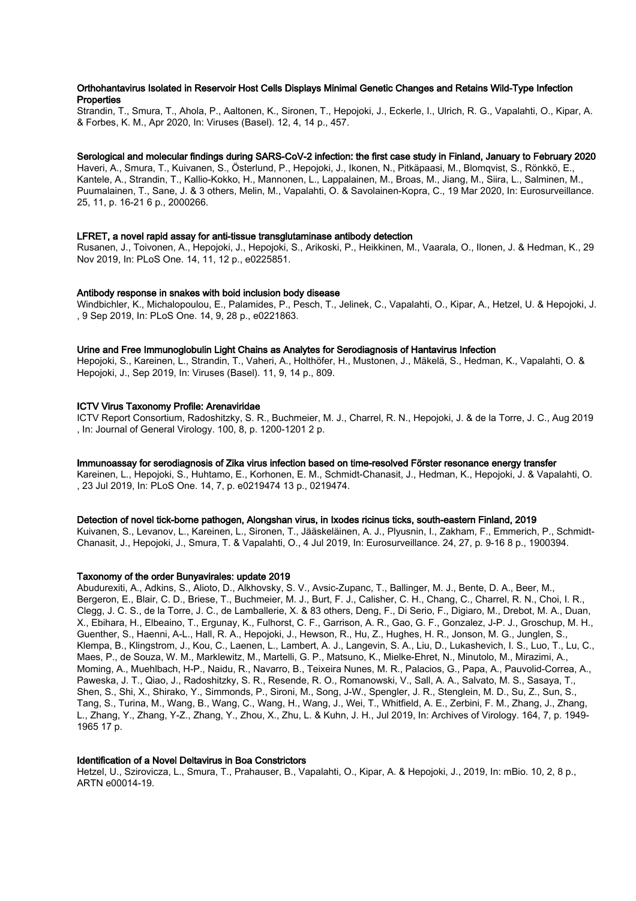## Orthohantavirus Isolated in Reservoir Host Cells Displays Minimal Genetic Changes and Retains Wild-Type Infection **Properties**

Strandin, T., Smura, T., Ahola, P., Aaltonen, K., Sironen, T., Hepojoki, J., Eckerle, I., Ulrich, R. G., Vapalahti, O., Kipar, A. & Forbes, K. M., Apr 2020, In: Viruses (Basel). 12, 4, 14 p., 457.

## Serological and molecular findings during SARS-CoV-2 infection: the first case study in Finland, January to February 2020

Haveri, A., Smura, T., Kuivanen, S., Österlund, P., Hepojoki, J., Ikonen, N., Pitkäpaasi, M., Blomqvist, S., Rönkkö, E., Kantele, A., Strandin, T., Kallio-Kokko, H., Mannonen, L., Lappalainen, M., Broas, M., Jiang, M., Siira, L., Salminen, M., Puumalainen, T., Sane, J. & 3 others, Melin, M., Vapalahti, O. & Savolainen-Kopra, C., 19 Mar 2020, In: Eurosurveillance. 25, 11, p. 16-21 6 p., 2000266.

#### LFRET, a novel rapid assay for anti-tissue transglutaminase antibody detection

Rusanen, J., Toivonen, A., Hepojoki, J., Hepojoki, S., Arikoski, P., Heikkinen, M., Vaarala, O., Ilonen, J. & Hedman, K., 29 Nov 2019, In: PLoS One. 14, 11, 12 p., e0225851.

#### Antibody response in snakes with boid inclusion body disease

Windbichler, K., Michalopoulou, E., Palamides, P., Pesch, T., Jelinek, C., Vapalahti, O., Kipar, A., Hetzel, U. & Hepojoki, J. , 9 Sep 2019, In: PLoS One. 14, 9, 28 p., e0221863.

#### Urine and Free Immunoglobulin Light Chains as Analytes for Serodiagnosis of Hantavirus Infection

Hepojoki, S., Kareinen, L., Strandin, T., Vaheri, A., Holthöfer, H., Mustonen, J., Mäkelä, S., Hedman, K., Vapalahti, O. & Hepojoki, J., Sep 2019, In: Viruses (Basel). 11, 9, 14 p., 809.

#### ICTV Virus Taxonomy Profile: Arenaviridae

ICTV Report Consortium, Radoshitzky, S. R., Buchmeier, M. J., Charrel, R. N., Hepojoki, J. & de la Torre, J. C., Aug 2019 , In: Journal of General Virology. 100, 8, p. 1200-1201 2 p.

#### Immunoassay for serodiagnosis of Zika virus infection based on time-resolved Förster resonance energy transfer

Kareinen, L., Hepojoki, S., Huhtamo, E., Korhonen, E. M., Schmidt-Chanasit, J., Hedman, K., Hepojoki, J. & Vapalahti, O. , 23 Jul 2019, In: PLoS One. 14, 7, p. e0219474 13 p., 0219474.

# Detection of novel tick-borne pathogen, Alongshan virus, in Ixodes ricinus ticks, south-eastern Finland, 2019

Kuivanen, S., Levanov, L., Kareinen, L., Sironen, T., Jääskeläinen, A. J., Plyusnin, I., Zakham, F., Emmerich, P., Schmidt-Chanasit, J., Hepojoki, J., Smura, T. & Vapalahti, O., 4 Jul 2019, In: Eurosurveillance. 24, 27, p. 9-16 8 p., 1900394.

#### Taxonomy of the order Bunyavirales: update 2019

Abudurexiti, A., Adkins, S., Alioto, D., Alkhovsky, S. V., Avsic-Zupanc, T., Ballinger, M. J., Bente, D. A., Beer, M., Bergeron, E., Blair, C. D., Briese, T., Buchmeier, M. J., Burt, F. J., Calisher, C. H., Chang, C., Charrel, R. N., Choi, I. R., Clegg, J. C. S., de la Torre, J. C., de Lamballerie, X. & 83 others, Deng, F., Di Serio, F., Digiaro, M., Drebot, M. A., Duan, X., Ebihara, H., Elbeaino, T., Ergunay, K., Fulhorst, C. F., Garrison, A. R., Gao, G. F., Gonzalez, J-P. J., Groschup, M. H., Guenther, S., Haenni, A-L., Hall, R. A., Hepojoki, J., Hewson, R., Hu, Z., Hughes, H. R., Jonson, M. G., Junglen, S., Klempa, B., Klingstrom, J., Kou, C., Laenen, L., Lambert, A. J., Langevin, S. A., Liu, D., Lukashevich, I. S., Luo, T., Lu, C., Maes, P., de Souza, W. M., Marklewitz, M., Martelli, G. P., Matsuno, K., Mielke-Ehret, N., Minutolo, M., Mirazimi, A., Moming, A., Muehlbach, H-P., Naidu, R., Navarro, B., Teixeira Nunes, M. R., Palacios, G., Papa, A., Pauvolid-Correa, A., Paweska, J. T., Qiao, J., Radoshitzky, S. R., Resende, R. O., Romanowski, V., Sall, A. A., Salvato, M. S., Sasaya, T., Shen, S., Shi, X., Shirako, Y., Simmonds, P., Sironi, M., Song, J-W., Spengler, J. R., Stenglein, M. D., Su, Z., Sun, S., Tang, S., Turina, M., Wang, B., Wang, C., Wang, H., Wang, J., Wei, T., Whitfield, A. E., Zerbini, F. M., Zhang, J., Zhang, L., Zhang, Y., Zhang, Y-Z., Zhang, Y., Zhou, X., Zhu, L. & Kuhn, J. H., Jul 2019, In: Archives of Virology. 164, 7, p. 1949- 1965 17 p.

#### Identification of a Novel Deltavirus in Boa Constrictors

Hetzel, U., Szirovicza, L., Smura, T., Prahauser, B., Vapalahti, O., Kipar, A. & Hepojoki, J., 2019, In: mBio. 10, 2, 8 p., ARTN e00014-19.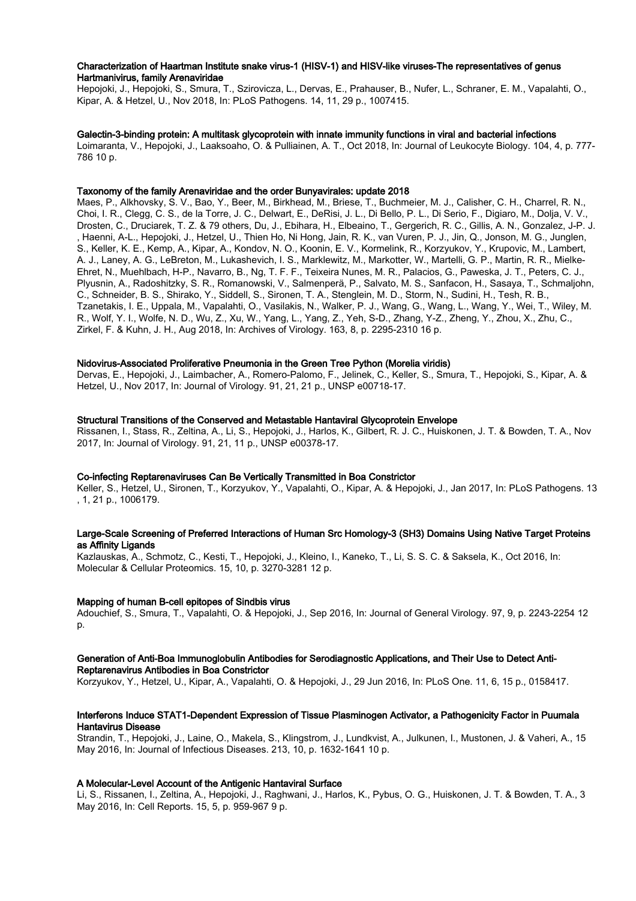## Characterization of Haartman Institute snake virus-1 (HISV-1) and HISV-like viruses-The representatives of genus Hartmanivirus, family Arenaviridae

Hepojoki, J., Hepojoki, S., Smura, T., Szirovicza, L., Dervas, E., Prahauser, B., Nufer, L., Schraner, E. M., Vapalahti, O., Kipar, A. & Hetzel, U., Nov 2018, In: PLoS Pathogens. 14, 11, 29 p., 1007415.

#### Galectin-3-binding protein: A multitask glycoprotein with innate immunity functions in viral and bacterial infections

Loimaranta, V., Hepojoki, J., Laaksoaho, O. & Pulliainen, A. T., Oct 2018, In: Journal of Leukocyte Biology. 104, 4, p. 777- 786 10 p.

#### Taxonomy of the family Arenaviridae and the order Bunyavirales: update 2018

Maes, P., Alkhovsky, S. V., Bao, Y., Beer, M., Birkhead, M., Briese, T., Buchmeier, M. J., Calisher, C. H., Charrel, R. N., Choi, I. R., Clegg, C. S., de la Torre, J. C., Delwart, E., DeRisi, J. L., Di Bello, P. L., Di Serio, F., Digiaro, M., Dolja, V. V., Drosten, C., Druciarek, T. Z. & 79 others, Du, J., Ebihara, H., Elbeaino, T., Gergerich, R. C., Gillis, A. N., Gonzalez, J-P. J. , Haenni, A-L., Hepojoki, J., Hetzel, U., Thien Ho, Ni Hong, Jain, R. K., van Vuren, P. J., Jin, Q., Jonson, M. G., Junglen, S., Keller, K. E., Kemp, A., Kipar, A., Kondov, N. O., Koonin, E. V., Kormelink, R., Korzyukov, Y., Krupovic, M., Lambert, A. J., Laney, A. G., LeBreton, M., Lukashevich, I. S., Marklewitz, M., Markotter, W., Martelli, G. P., Martin, R. R., Mielke-Ehret, N., Muehlbach, H-P., Navarro, B., Ng, T. F. F., Teixeira Nunes, M. R., Palacios, G., Paweska, J. T., Peters, C. J., Plyusnin, A., Radoshitzky, S. R., Romanowski, V., Salmenperä, P., Salvato, M. S., Sanfacon, H., Sasaya, T., Schmaljohn, C., Schneider, B. S., Shirako, Y., Siddell, S., Sironen, T. A., Stenglein, M. D., Storm, N., Sudini, H., Tesh, R. B., Tzanetakis, I. E., Uppala, M., Vapalahti, O., Vasilakis, N., Walker, P. J., Wang, G., Wang, L., Wang, Y., Wei, T., Wiley, M. R., Wolf, Y. I., Wolfe, N. D., Wu, Z., Xu, W., Yang, L., Yang, Z., Yeh, S-D., Zhang, Y-Z., Zheng, Y., Zhou, X., Zhu, C., Zirkel, F. & Kuhn, J. H., Aug 2018, In: Archives of Virology. 163, 8, p. 2295-2310 16 p.

#### Nidovirus-Associated Proliferative Pneumonia in the Green Tree Python (Morelia viridis)

Dervas, E., Hepojoki, J., Laimbacher, A., Romero-Palomo, F., Jelinek, C., Keller, S., Smura, T., Hepojoki, S., Kipar, A. & Hetzel, U., Nov 2017, In: Journal of Virology. 91, 21, 21 p., UNSP e00718-17.

#### Structural Transitions of the Conserved and Metastable Hantaviral Glycoprotein Envelope

Rissanen, I., Stass, R., Zeltina, A., Li, S., Hepojoki, J., Harlos, K., Gilbert, R. J. C., Huiskonen, J. T. & Bowden, T. A., Nov 2017, In: Journal of Virology. 91, 21, 11 p., UNSP e00378-17.

#### Co-infecting Reptarenaviruses Can Be Vertically Transmitted in Boa Constrictor

Keller, S., Hetzel, U., Sironen, T., Korzyukov, Y., Vapalahti, O., Kipar, A. & Hepojoki, J., Jan 2017, In: PLoS Pathogens. 13 , 1, 21 p., 1006179.

## Large-Scale Screening of Preferred Interactions of Human Src Homology-3 (SH3) Domains Using Native Target Proteins as Affinity Ligands

Kazlauskas, A., Schmotz, C., Kesti, T., Hepojoki, J., Kleino, I., Kaneko, T., Li, S. S. C. & Saksela, K., Oct 2016, In: Molecular & Cellular Proteomics. 15, 10, p. 3270-3281 12 p.

## Mapping of human B-cell epitopes of Sindbis virus

Adouchief, S., Smura, T., Vapalahti, O. & Hepojoki, J., Sep 2016, In: Journal of General Virology. 97, 9, p. 2243-2254 12 p.

#### Generation of Anti-Boa Immunoglobulin Antibodies for Serodiagnostic Applications, and Their Use to Detect Anti-Reptarenavirus Antibodies in Boa Constrictor

Korzyukov, Y., Hetzel, U., Kipar, A., Vapalahti, O. & Hepojoki, J., 29 Jun 2016, In: PLoS One. 11, 6, 15 p., 0158417.

## Interferons Induce STAT1-Dependent Expression of Tissue Plasminogen Activator, a Pathogenicity Factor in Puumala Hantavirus Disease

Strandin, T., Hepojoki, J., Laine, O., Makela, S., Klingstrom, J., Lundkvist, A., Julkunen, I., Mustonen, J. & Vaheri, A., 15 May 2016, In: Journal of Infectious Diseases. 213, 10, p. 1632-1641 10 p.

## A Molecular-Level Account of the Antigenic Hantaviral Surface

Li, S., Rissanen, I., Zeltina, A., Hepojoki, J., Raghwani, J., Harlos, K., Pybus, O. G., Huiskonen, J. T. & Bowden, T. A., 3 May 2016, In: Cell Reports. 15, 5, p. 959-967 9 p.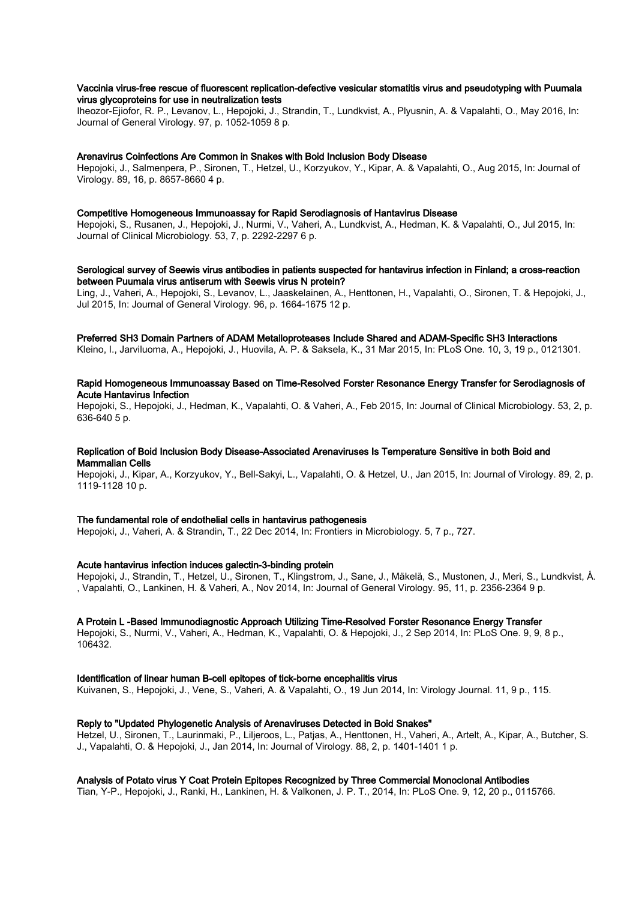## Vaccinia virus-free rescue of fluorescent replication-defective vesicular stomatitis virus and pseudotyping with Puumala virus glycoproteins for use in neutralization tests

Iheozor-Ejiofor, R. P., Levanov, L., Hepojoki, J., Strandin, T., Lundkvist, A., Plyusnin, A. & Vapalahti, O., May 2016, In: Journal of General Virology. 97, p. 1052-1059 8 p.

#### Arenavirus Coinfections Are Common in Snakes with Boid Inclusion Body Disease

Hepojoki, J., Salmenpera, P., Sironen, T., Hetzel, U., Korzyukov, Y., Kipar, A. & Vapalahti, O., Aug 2015, In: Journal of Virology. 89, 16, p. 8657-8660 4 p.

#### Competitive Homogeneous Immunoassay for Rapid Serodiagnosis of Hantavirus Disease

Hepojoki, S., Rusanen, J., Hepojoki, J., Nurmi, V., Vaheri, A., Lundkvist, A., Hedman, K. & Vapalahti, O., Jul 2015, In: Journal of Clinical Microbiology. 53, 7, p. 2292-2297 6 p.

## Serological survey of Seewis virus antibodies in patients suspected for hantavirus infection in Finland; a cross-reaction between Puumala virus antiserum with Seewis virus N protein?

Ling, J., Vaheri, A., Hepojoki, S., Levanov, L., Jaaskelainen, A., Henttonen, H., Vapalahti, O., Sironen, T. & Hepojoki, J., Jul 2015, In: Journal of General Virology. 96, p. 1664-1675 12 p.

#### Preferred SH3 Domain Partners of ADAM Metalloproteases Include Shared and ADAM-Specific SH3 Interactions

Kleino, I., Jarviluoma, A., Hepojoki, J., Huovila, A. P. & Saksela, K., 31 Mar 2015, In: PLoS One. 10, 3, 19 p., 0121301.

## Rapid Homogeneous Immunoassay Based on Time-Resolved Forster Resonance Energy Transfer for Serodiagnosis of Acute Hantavirus Infection

Hepojoki, S., Hepojoki, J., Hedman, K., Vapalahti, O. & Vaheri, A., Feb 2015, In: Journal of Clinical Microbiology. 53, 2, p. 636-640 5 p.

#### Replication of Boid Inclusion Body Disease-Associated Arenaviruses Is Temperature Sensitive in both Boid and Mammalian Cells

Hepojoki, J., Kipar, A., Korzyukov, Y., Bell-Sakyi, L., Vapalahti, O. & Hetzel, U., Jan 2015, In: Journal of Virology. 89, 2, p. 1119-1128 10 p.

#### The fundamental role of endothelial cells in hantavirus pathogenesis

Hepojoki, J., Vaheri, A. & Strandin, T., 22 Dec 2014, In: Frontiers in Microbiology. 5, 7 p., 727.

## Acute hantavirus infection induces galectin-3-binding protein

Hepojoki, J., Strandin, T., Hetzel, U., Sironen, T., Klingstrom, J., Sane, J., Mäkelä, S., Mustonen, J., Meri, S., Lundkvist, Å. , Vapalahti, O., Lankinen, H. & Vaheri, A., Nov 2014, In: Journal of General Virology. 95, 11, p. 2356-2364 9 p.

#### A Protein L -Based Immunodiagnostic Approach Utilizing Time-Resolved Forster Resonance Energy Transfer

Hepojoki, S., Nurmi, V., Vaheri, A., Hedman, K., Vapalahti, O. & Hepojoki, J., 2 Sep 2014, In: PLoS One. 9, 9, 8 p., 106432.

#### Identification of linear human B-cell epitopes of tick-borne encephalitis virus

Kuivanen, S., Hepojoki, J., Vene, S., Vaheri, A. & Vapalahti, O., 19 Jun 2014, In: Virology Journal. 11, 9 p., 115.

## Reply to "Updated Phylogenetic Analysis of Arenaviruses Detected in Boid Snakes"

Hetzel, U., Sironen, T., Laurinmaki, P., Liljeroos, L., Patjas, A., Henttonen, H., Vaheri, A., Artelt, A., Kipar, A., Butcher, S. J., Vapalahti, O. & Hepojoki, J., Jan 2014, In: Journal of Virology. 88, 2, p. 1401-1401 1 p.

## Analysis of Potato virus Y Coat Protein Epitopes Recognized by Three Commercial Monoclonal Antibodies

Tian, Y-P., Hepojoki, J., Ranki, H., Lankinen, H. & Valkonen, J. P. T., 2014, In: PLoS One. 9, 12, 20 p., 0115766.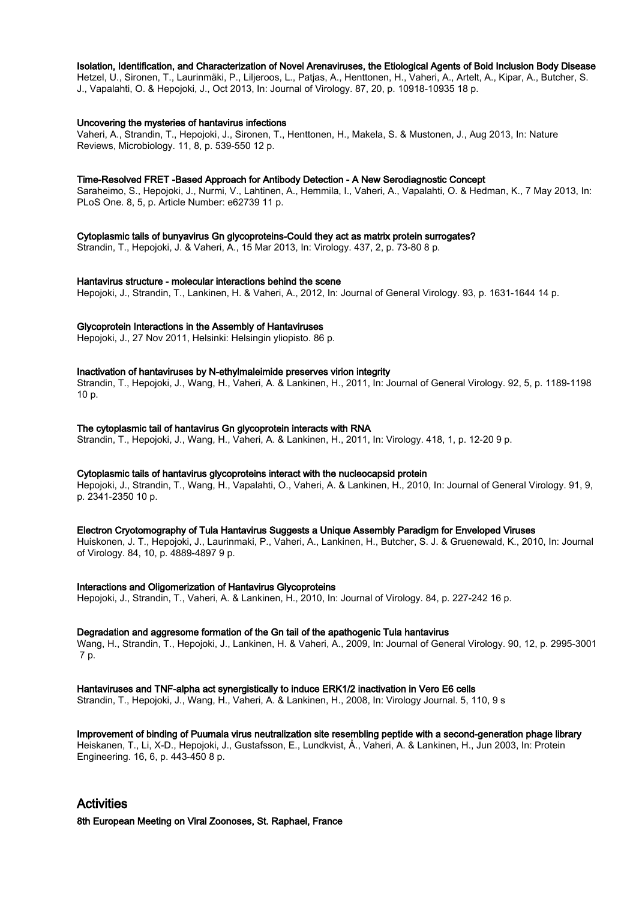#### Isolation, Identification, and Characterization of Novel Arenaviruses, the Etiological Agents of Boid Inclusion Body Disease

Hetzel, U., Sironen, T., Laurinmäki, P., Liljeroos, L., Patjas, A., Henttonen, H., Vaheri, A., Artelt, A., Kipar, A., Butcher, S. J., Vapalahti, O. & Hepojoki, J., Oct 2013, In: Journal of Virology. 87, 20, p. 10918-10935 18 p.

#### Uncovering the mysteries of hantavirus infections

Vaheri, A., Strandin, T., Hepojoki, J., Sironen, T., Henttonen, H., Makela, S. & Mustonen, J., Aug 2013, In: Nature Reviews, Microbiology. 11, 8, p. 539-550 12 p.

#### Time-Resolved FRET -Based Approach for Antibody Detection - A New Serodiagnostic Concept

Saraheimo, S., Hepojoki, J., Nurmi, V., Lahtinen, A., Hemmila, I., Vaheri, A., Vapalahti, O. & Hedman, K., 7 May 2013, In: PLoS One. 8, 5, p. Article Number: e62739 11 p.

#### Cytoplasmic tails of bunyavirus Gn glycoproteins-Could they act as matrix protein surrogates?

Strandin, T., Hepojoki, J. & Vaheri, A., 15 Mar 2013, In: Virology. 437, 2, p. 73-80 8 p.

## Hantavirus structure - molecular interactions behind the scene

Hepojoki, J., Strandin, T., Lankinen, H. & Vaheri, A., 2012, In: Journal of General Virology. 93, p. 1631-1644 14 p.

#### Glycoprotein Interactions in the Assembly of Hantaviruses

Hepojoki, J., 27 Nov 2011, Helsinki: Helsingin yliopisto. 86 p.

## Inactivation of hantaviruses by N-ethylmaleimide preserves virion integrity

Strandin, T., Hepojoki, J., Wang, H., Vaheri, A. & Lankinen, H., 2011, In: Journal of General Virology. 92, 5, p. 1189-1198 10 p.

#### The cytoplasmic tail of hantavirus Gn glycoprotein interacts with RNA

Strandin, T., Hepojoki, J., Wang, H., Vaheri, A. & Lankinen, H., 2011, In: Virology. 418, 1, p. 12-20 9 p.

#### Cytoplasmic tails of hantavirus glycoproteins interact with the nucleocapsid protein

Hepojoki, J., Strandin, T., Wang, H., Vapalahti, O., Vaheri, A. & Lankinen, H., 2010, In: Journal of General Virology. 91, 9, p. 2341-2350 10 p.

#### Electron Cryotomography of Tula Hantavirus Suggests a Unique Assembly Paradigm for Enveloped Viruses

Huiskonen, J. T., Hepojoki, J., Laurinmaki, P., Vaheri, A., Lankinen, H., Butcher, S. J. & Gruenewald, K., 2010, In: Journal of Virology. 84, 10, p. 4889-4897 9 p.

#### Interactions and Oligomerization of Hantavirus Glycoproteins

Hepojoki, J., Strandin, T., Vaheri, A. & Lankinen, H., 2010, In: Journal of Virology. 84, p. 227-242 16 p.

#### Degradation and aggresome formation of the Gn tail of the apathogenic Tula hantavirus

Wang, H., Strandin, T., Hepojoki, J., Lankinen, H. & Vaheri, A., 2009, In: Journal of General Virology. 90, 12, p. 2995-3001 7 p.

#### Hantaviruses and TNF-alpha act synergistically to induce ERK1/2 inactivation in Vero E6 cells

Strandin, T., Hepojoki, J., Wang, H., Vaheri, A. & Lankinen, H., 2008, In: Virology Journal. 5, 110, 9 s

# Improvement of binding of Puumala virus neutralization site resembling peptide with a second-generation phage library

Heiskanen, T., Li, X-D., Hepojoki, J., Gustafsson, E., Lundkvist, Å., Vaheri, A. & Lankinen, H., Jun 2003, In: Protein Engineering. 16, 6, p. 443-450 8 p.

# Activities

8th European Meeting on Viral Zoonoses, St. Raphael, France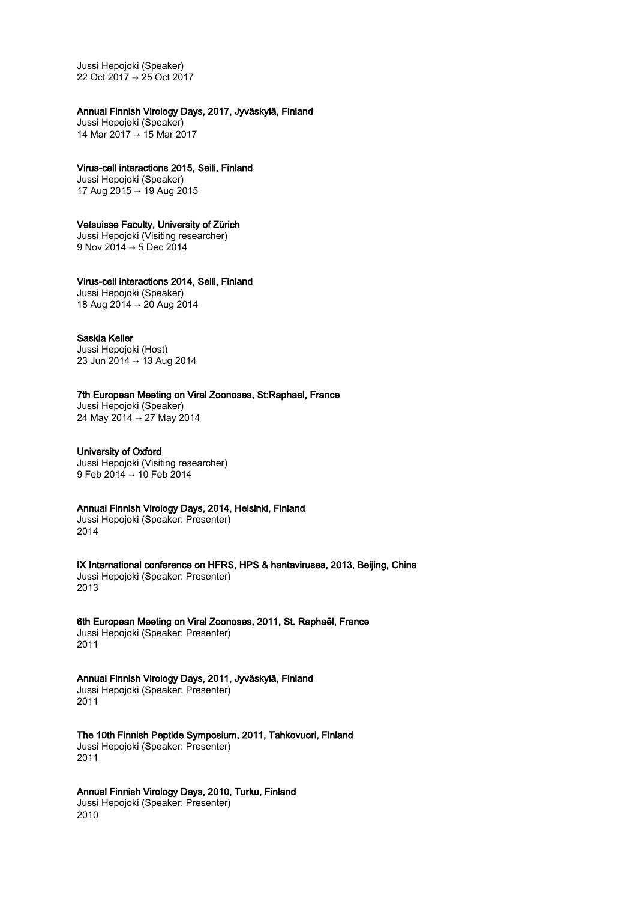Jussi Hepojoki (Speaker) 22 Oct 2017 → 25 Oct 2017

## Annual Finnish Virology Days, 2017, Jyväskylä, Finland

Jussi Hepojoki (Speaker) 14 Mar 2017 → 15 Mar 2017

## Virus-cell interactions 2015, Seili, Finland

Jussi Hepojoki (Speaker) 17 Aug 2015 → 19 Aug 2015

## Vetsuisse Faculty, University of Zürich

Jussi Hepojoki (Visiting researcher) 9 Nov 2014 → 5 Dec 2014

# Virus-cell interactions 2014, Seili, Finland

Jussi Hepojoki (Speaker) 18 Aug 2014 → 20 Aug 2014

## Saskia Keller

Jussi Hepojoki (Host) 23 Jun 2014 → 13 Aug 2014

# 7th European Meeting on Viral Zoonoses, St:Raphael, France

Jussi Hepojoki (Speaker) 24 May 2014 → 27 May 2014

## University of Oxford

Jussi Hepojoki (Visiting researcher) 9 Feb 2014 → 10 Feb 2014

## Annual Finnish Virology Days, 2014, Helsinki, Finland

Jussi Hepojoki (Speaker: Presenter) 2014

IX International conference on HFRS, HPS & hantaviruses, 2013, Beijing, China Jussi Hepojoki (Speaker: Presenter) 2013

6th European Meeting on Viral Zoonoses, 2011, St. Raphaël, France Jussi Hepojoki (Speaker: Presenter) 2011

## Annual Finnish Virology Days, 2011, Jyväskylä, Finland Jussi Hepojoki (Speaker: Presenter)

2011

The 10th Finnish Peptide Symposium, 2011, Tahkovuori, Finland Jussi Hepojoki (Speaker: Presenter) 2011

# Annual Finnish Virology Days, 2010, Turku, Finland

Jussi Hepojoki (Speaker: Presenter) 2010